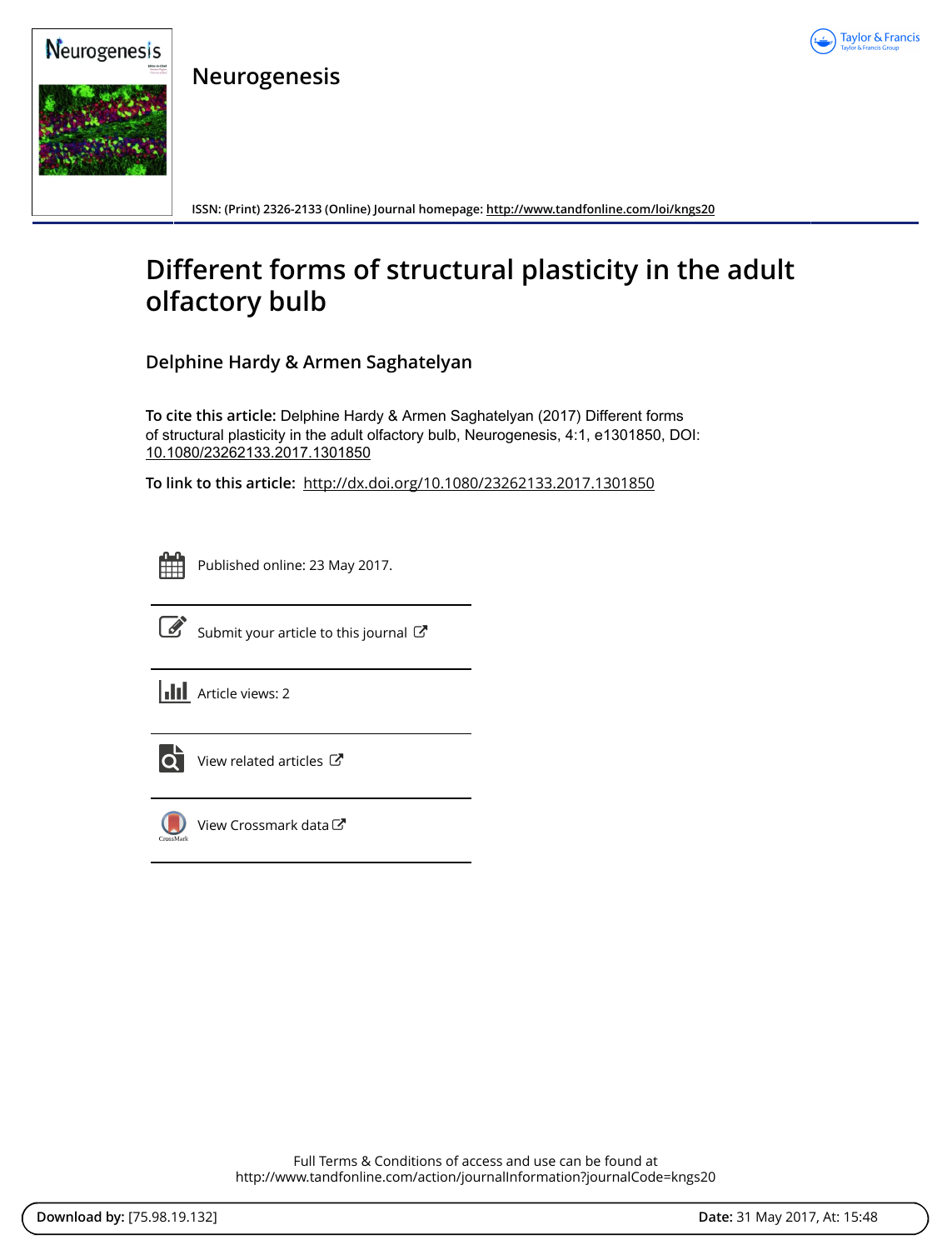

**Neurogenesis**



**ISSN: (Print) 2326-2133 (Online) Journal homepage:<http://www.tandfonline.com/loi/kngs20>**

# **Different forms of structural plasticity in the adult olfactory bulb**

**Delphine Hardy & Armen Saghatelyan**

**To cite this article:** Delphine Hardy & Armen Saghatelyan (2017) Different forms of structural plasticity in the adult olfactory bulb, Neurogenesis, 4:1, e1301850, DOI: [10.1080/23262133.2017.1301850](http://www.tandfonline.com/action/showCitFormats?doi=10.1080/23262133.2017.1301850)

**To link to this article:** <http://dx.doi.org/10.1080/23262133.2017.1301850>

|  | -- | _ |  |
|--|----|---|--|
|  |    |   |  |
|  |    |   |  |
|  |    |   |  |

Published online: 23 May 2017.



 $\overrightarrow{S}$  [Submit your article to this journal](http://www.tandfonline.com/action/authorSubmission?journalCode=kngs20&show=instructions)  $\overrightarrow{S}$ 

**III** Article views: 2



 $\overrightarrow{Q}$  [View related articles](http://www.tandfonline.com/doi/mlt/10.1080/23262133.2017.1301850)  $\overrightarrow{C}$ 



[View Crossmark data](http://crossmark.crossref.org/dialog/?doi=10.1080/23262133.2017.1301850&domain=pdf&date_stamp=2017-05-23)  $\sigma$ 

Full Terms & Conditions of access and use can be found at <http://www.tandfonline.com/action/journalInformation?journalCode=kngs20>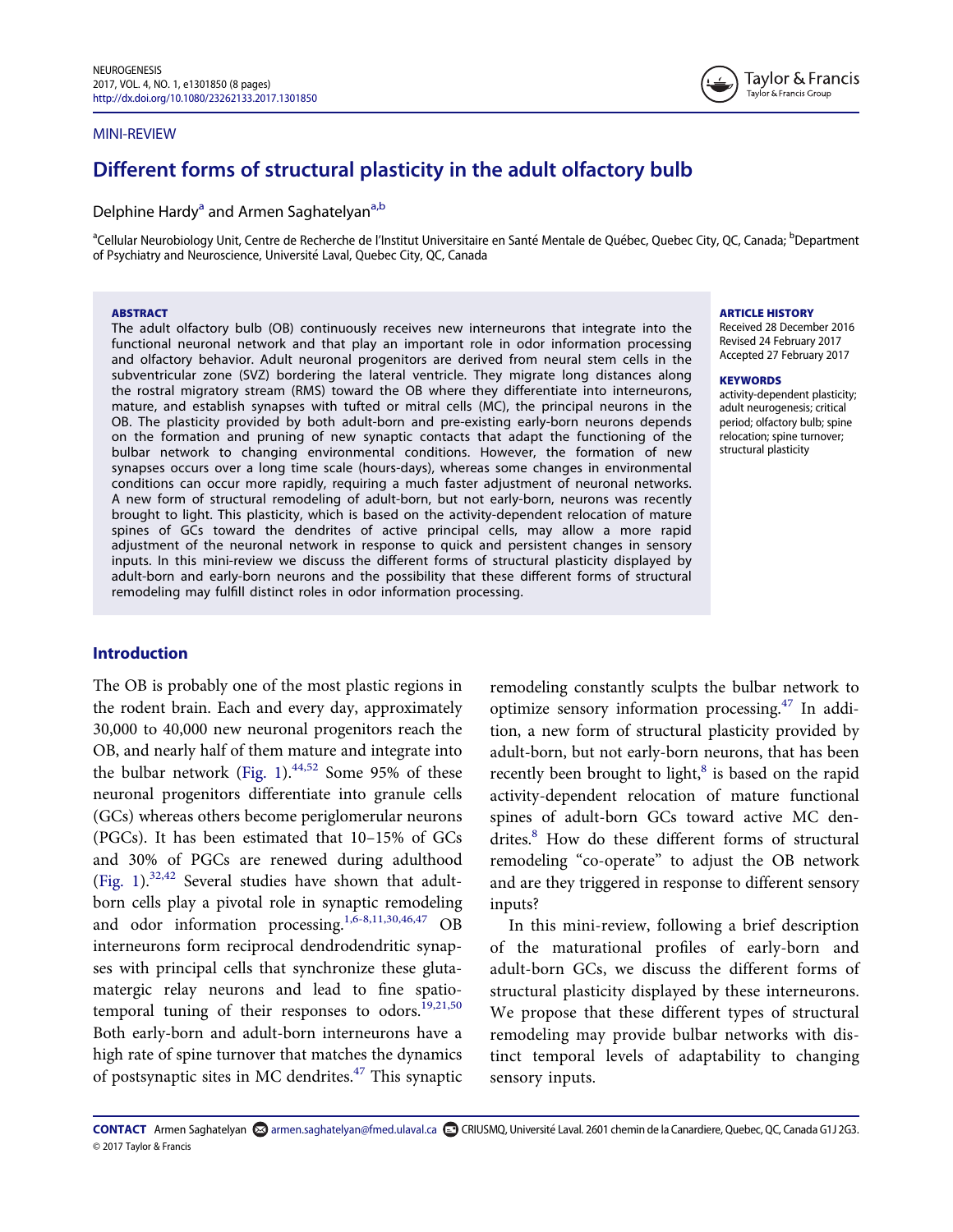#### MINI-REVIEW



## Delphine H[a](#page-1-0)rdy<sup>a</sup> and Armen Saghatelyan<sup>a,b</sup>

<span id="page-1-0"></span><sup>a</sup>Cellular Neurobiology Unit, Centre de Recherche de l'Institut Universitaire en Santé Mentale de Québec, Quebec City, QC, Canada; <sup>b</sup>Department of Psychiatry and Neuroscience, Universite Laval, Quebec City, QC, Canada

#### ABSTRACT

The adult olfactory bulb (OB) continuously receives new interneurons that integrate into the functional neuronal network and that play an important role in odor information processing and olfactory behavior. Adult neuronal progenitors are derived from neural stem cells in the subventricular zone (SVZ) bordering the lateral ventricle. They migrate long distances along the rostral migratory stream (RMS) toward the OB where they differentiate into interneurons, mature, and establish synapses with tufted or mitral cells (MC), the principal neurons in the OB. The plasticity provided by both adult-born and pre-existing early-born neurons depends on the formation and pruning of new synaptic contacts that adapt the functioning of the bulbar network to changing environmental conditions. However, the formation of new synapses occurs over a long time scale (hours-days), whereas some changes in environmental conditions can occur more rapidly, requiring a much faster adjustment of neuronal networks. A new form of structural remodeling of adult-born, but not early-born, neurons was recently brought to light. This plasticity, which is based on the activity-dependent relocation of mature spines of GCs toward the dendrites of active principal cells, may allow a more rapid adjustment of the neuronal network in response to quick and persistent changes in sensory inputs. In this mini-review we discuss the different forms of structural plasticity displayed by adult-born and early-born neurons and the possibility that these different forms of structural remodeling may fulfill distinct roles in odor information processing.

## **Introduction**

The OB is probably one of the most plastic regions in the rodent brain. Each and every day, approximately 30,000 to 40,000 new neuronal progenitors reach the OB, and nearly half of them mature and integrate into the bulbar network [\(Fig. 1](#page-2-0)). $44,52$  Some 95% of these neuronal progenitors differentiate into granule cells (GCs) whereas others become periglomerular neurons (PGCs). It has been estimated that 10–15% of GCs and 30% of PGCs are renewed during adulthood ([Fig. 1\)](#page-2-0). $32,42$  Several studies have shown that adultborn cells play a pivotal role in synaptic remodeling and odor information processing[.1,6-8,11,30,46,47](#page-6-0) OB interneurons form reciprocal dendrodendritic synapses with principal cells that synchronize these glutamatergic relay neurons and lead to fine spatiotemporal tuning of their responses to odors.<sup>19,21,50</sup> Both early-born and adult-born interneurons have a high rate of spine turnover that matches the dynamics of postsynaptic sites in MC dendrites. $47$  This synaptic

ARTICLE HISTORY

Received 28 December 2016 Revised 24 February 2017 Accepted 27 February 2017

Taylor & Francis Taylor & Francis Group

#### **KEYWORDS**

activity-dependent plasticity; adult neurogenesis; critical period; olfactory bulb; spine relocation; spine turnover; structural plasticity

remodeling constantly sculpts the bulbar network to optimize sensory information processing.[47](#page-8-1) In addition, a new form of structural plasticity provided by adult-born, but not early-born neurons, that has been recently been brought to light, $8$  is based on the rapid activity-dependent relocation of mature functional spines of adult-born GCs toward active MC den-drites.<sup>[8](#page-6-1)</sup> How do these different forms of structural remodeling "co-operate" to adjust the OB network and are they triggered in response to different sensory inputs?

In this mini-review, following a brief description of the maturational profiles of early-born and adult-born GCs, we discuss the different forms of structural plasticity displayed by these interneurons. We propose that these different types of structural remodeling may provide bulbar networks with distinct temporal levels of adaptability to changing sensory inputs.

CONTACT Armen Saghatelyan @ armen.saghatelyan@fmed.ulaval.ca @ CRIUSMQ, Université Laval. 2601 chemin de la Canardiere, Quebec, QC, Canada G1J 2G3. © 2017 Taylor & Francis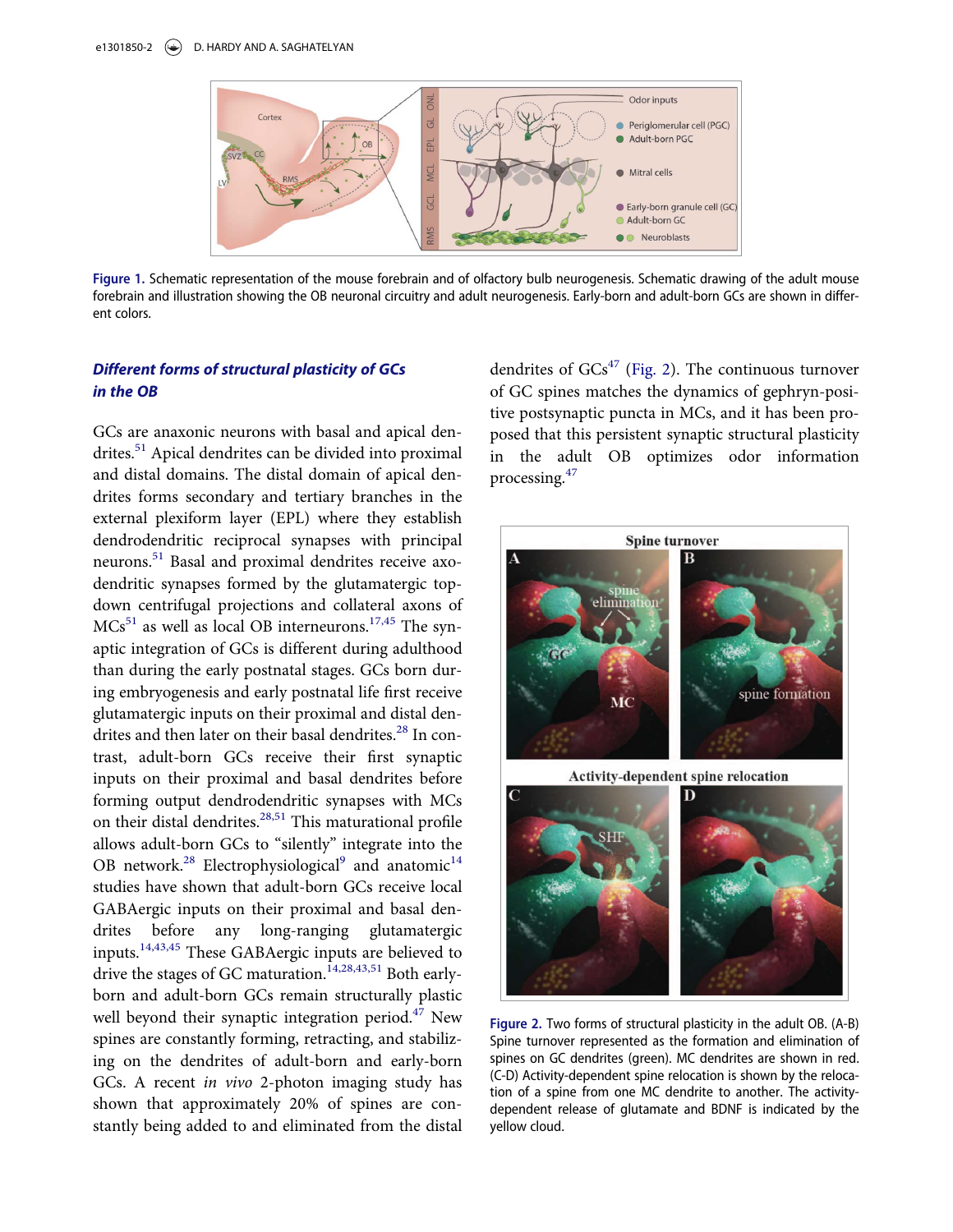<span id="page-2-0"></span>

Figure 1. Schematic representation of the mouse forebrain and of olfactory bulb neurogenesis. Schematic drawing of the adult mouse forebrain and illustration showing the OB neuronal circuitry and adult neurogenesis. Early-born and adult-born GCs are shown in different colors.

# Different forms of structural plasticity of GCs in the OB

<span id="page-2-1"></span>GCs are anaxonic neurons with basal and apical den-drites.<sup>[51](#page-8-2)</sup> Apical dendrites can be divided into proximal and distal domains. The distal domain of apical dendrites forms secondary and tertiary branches in the external plexiform layer (EPL) where they establish dendrodendritic reciprocal synapses with principal neurons.[51](#page-8-2) Basal and proximal dendrites receive axodendritic synapses formed by the glutamatergic topdown centrifugal projections and collateral axons of  $MCs<sup>51</sup>$  $MCs<sup>51</sup>$  $MCs<sup>51</sup>$  as well as local OB interneurons.<sup>[17,45](#page-6-2)</sup> The synaptic integration of GCs is different during adulthood than during the early postnatal stages. GCs born during embryogenesis and early postnatal life first receive glutamatergic inputs on their proximal and distal den-drites and then later on their basal dendrites.<sup>[28](#page-7-2)</sup> In contrast, adult-born GCs receive their first synaptic inputs on their proximal and basal dendrites before forming output dendrodendritic synapses with MCs on their distal dendrites.<sup>[28,51](#page-7-2)</sup> This maturational profile allows adult-born GCs to "silently" integrate into the OB network.<sup>[28](#page-7-2)</sup> Electrophysiological<sup>9</sup> and anatomic<sup>14</sup> studies have shown that adult-born GCs receive local GABAergic inputs on their proximal and basal dendrites before any long-ranging glutamatergic inputs.[14,43,45](#page-6-4) These GABAergic inputs are believed to drive the stages of GC maturation.<sup>[14,28,43,51](#page-6-4)</sup> Both earlyborn and adult-born GCs remain structurally plastic well beyond their synaptic integration period.<sup>47</sup> New spines are constantly forming, retracting, and stabilizing on the dendrites of adult-born and early-born GCs. A recent in vivo 2-photon imaging study has shown that approximately 20% of spines are constantly being added to and eliminated from the distal dendrites of  $GCs^{47}$  $GCs^{47}$  $GCs^{47}$  ([Fig. 2\)](#page-2-1). The continuous turnover of GC spines matches the dynamics of gephryn-positive postsynaptic puncta in MCs, and it has been proposed that this persistent synaptic structural plasticity in the adult OB optimizes odor information processing.[47](#page-8-1)



Figure 2. Two forms of structural plasticity in the adult OB. (A-B) Spine turnover represented as the formation and elimination of spines on GC dendrites (green). MC dendrites are shown in red. (C-D) Activity-dependent spine relocation is shown by the relocation of a spine from one MC dendrite to another. The activitydependent release of glutamate and BDNF is indicated by the yellow cloud.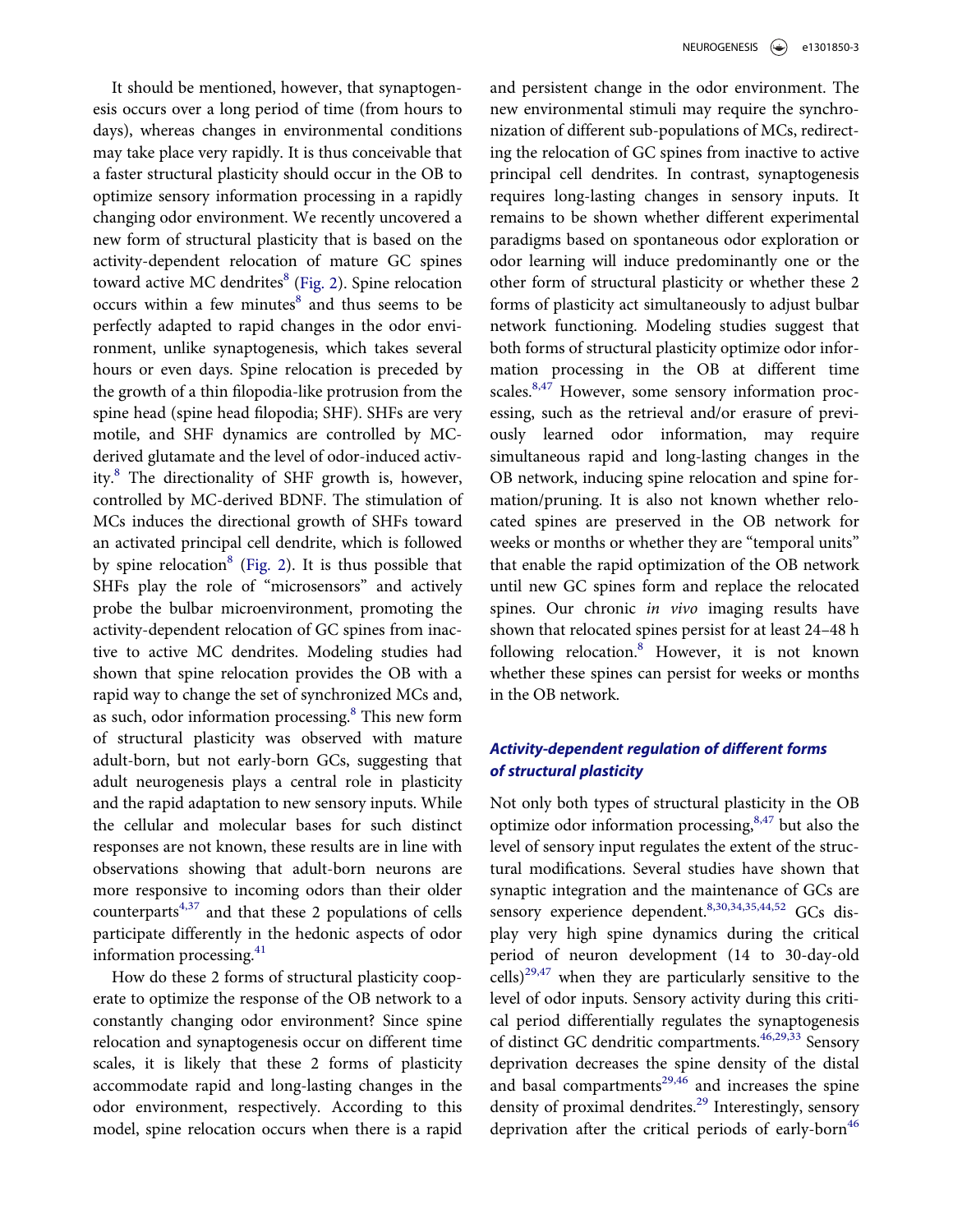It should be mentioned, however, that synaptogenesis occurs over a long period of time (from hours to days), whereas changes in environmental conditions may take place very rapidly. It is thus conceivable that

a faster structural plasticity should occur in the OB to optimize sensory information processing in a rapidly changing odor environment. We recently uncovered a new form of structural plasticity that is based on the activity-dependent relocation of mature GC spines toward active MC dendrites $8$  ([Fig. 2\)](#page-2-1). Spine relocation occurs within a few minutes<sup>[8](#page-6-1)</sup> and thus seems to be perfectly adapted to rapid changes in the odor environment, unlike synaptogenesis, which takes several hours or even days. Spine relocation is preceded by the growth of a thin filopodia-like protrusion from the spine head (spine head filopodia; SHF). SHFs are very motile, and SHF dynamics are controlled by MCderived glutamate and the level of odor-induced activ-ity.<sup>[8](#page-6-1)</sup> The directionality of SHF growth is, however, controlled by MC-derived BDNF. The stimulation of MCs induces the directional growth of SHFs toward an activated principal cell dendrite, which is followed by spine relocation<sup>[8](#page-6-1)</sup> [\(Fig. 2\)](#page-2-1). It is thus possible that SHFs play the role of "microsensors" and actively probe the bulbar microenvironment, promoting the activity-dependent relocation of GC spines from inactive to active MC dendrites. Modeling studies had shown that spine relocation provides the OB with a rapid way to change the set of synchronized MCs and, as such, odor information processing.<sup>[8](#page-6-1)</sup> This new form of structural plasticity was observed with mature adult-born, but not early-born GCs, suggesting that adult neurogenesis plays a central role in plasticity and the rapid adaptation to new sensory inputs. While the cellular and molecular bases for such distinct responses are not known, these results are in line with observations showing that adult-born neurons are more responsive to incoming odors than their older counterparts $4,37$  and that these 2 populations of cells participate differently in the hedonic aspects of odor information processing.<sup>[41](#page-7-3)</sup>

How do these 2 forms of structural plasticity cooperate to optimize the response of the OB network to a constantly changing odor environment? Since spine relocation and synaptogenesis occur on different time scales, it is likely that these 2 forms of plasticity accommodate rapid and long-lasting changes in the odor environment, respectively. According to this model, spine relocation occurs when there is a rapid

and persistent change in the odor environment. The new environmental stimuli may require the synchronization of different sub-populations of MCs, redirecting the relocation of GC spines from inactive to active principal cell dendrites. In contrast, synaptogenesis requires long-lasting changes in sensory inputs. It remains to be shown whether different experimental paradigms based on spontaneous odor exploration or odor learning will induce predominantly one or the other form of structural plasticity or whether these 2 forms of plasticity act simultaneously to adjust bulbar network functioning. Modeling studies suggest that both forms of structural plasticity optimize odor information processing in the OB at different time scales.<sup>[8,47](#page-6-1)</sup> However, some sensory information processing, such as the retrieval and/or erasure of previously learned odor information, may require simultaneous rapid and long-lasting changes in the OB network, inducing spine relocation and spine formation/pruning. It is also not known whether relocated spines are preserved in the OB network for weeks or months or whether they are "temporal units" that enable the rapid optimization of the OB network until new GC spines form and replace the relocated spines. Our chronic in vivo imaging results have shown that relocated spines persist for at least 24–48 h following relocation.[8](#page-6-1) However, it is not known whether these spines can persist for weeks or months in the OB network.

## Activity-dependent regulation of different forms of structural plasticity

Not only both types of structural plasticity in the OB optimize odor information processing,<sup>8,47</sup> but also the level of sensory input regulates the extent of the structural modifications. Several studies have shown that synaptic integration and the maintenance of GCs are sensory experience dependent.<sup>[8,30,34,35,44,52](#page-6-1)</sup> GCs display very high spine dynamics during the critical period of neuron development (14 to 30-day-old cells)<sup>[29,47](#page-7-4)</sup> when they are particularly sensitive to the level of odor inputs. Sensory activity during this critical period differentially regulates the synaptogenesis of distinct GC dendritic compartments.<sup>[46,29,33](#page-8-3)</sup> Sensory deprivation decreases the spine density of the distal and basal compartments<sup>29,46</sup> and increases the spine density of proximal dendrites.<sup>[29](#page-7-4)</sup> Interestingly, sensory deprivation after the critical periods of early-born<sup>[46](#page-8-3)</sup>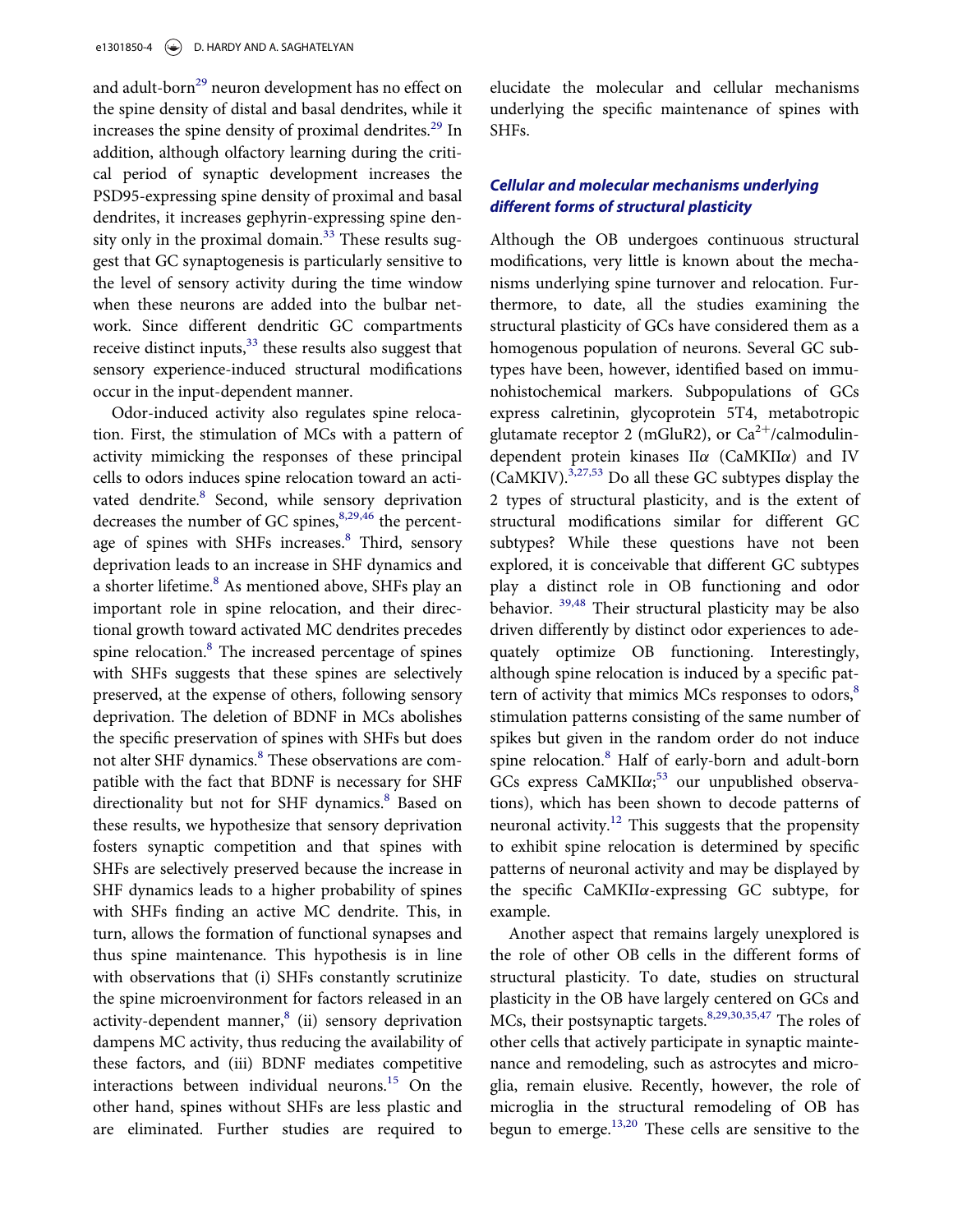and adult-born<sup>[29](#page-7-4)</sup> neuron development has no effect on the spine density of distal and basal dendrites, while it increases the spine density of proximal dendrites. $^{29}$  $^{29}$  $^{29}$  In addition, although olfactory learning during the critical period of synaptic development increases the PSD95-expressing spine density of proximal and basal dendrites, it increases gephyrin-expressing spine density only in the proximal domain. $33$  These results suggest that GC synaptogenesis is particularly sensitive to the level of sensory activity during the time window when these neurons are added into the bulbar network. Since different dendritic GC compartments receive distinct inputs, $33$  these results also suggest that sensory experience-induced structural modifications occur in the input-dependent manner.

Odor-induced activity also regulates spine relocation. First, the stimulation of MCs with a pattern of activity mimicking the responses of these principal cells to odors induces spine relocation toward an acti-vated dendrite.<sup>[8](#page-6-1)</sup> Second, while sensory deprivation decreases the number of GC spines,<sup>[8,29,46](#page-6-1)</sup> the percent-age of spines with SHFs increases.<sup>[8](#page-6-1)</sup> Third, sensory deprivation leads to an increase in SHF dynamics and a shorter lifetime.<sup>[8](#page-6-1)</sup> As mentioned above, SHFs play an important role in spine relocation, and their directional growth toward activated MC dendrites precedes spine relocation.<sup>[8](#page-6-1)</sup> The increased percentage of spines with SHFs suggests that these spines are selectively preserved, at the expense of others, following sensory deprivation. The deletion of BDNF in MCs abolishes the specific preservation of spines with SHFs but does not alter SHF dynamics.<sup>8</sup> These observations are compatible with the fact that BDNF is necessary for SHF directionality but not for SHF dynamics.<sup>[8](#page-6-1)</sup> Based on these results, we hypothesize that sensory deprivation fosters synaptic competition and that spines with SHFs are selectively preserved because the increase in SHF dynamics leads to a higher probability of spines with SHFs finding an active MC dendrite. This, in turn, allows the formation of functional synapses and thus spine maintenance. This hypothesis is in line with observations that (i) SHFs constantly scrutinize the spine microenvironment for factors released in an activity-dependent manner, $8$  (ii) sensory deprivation dampens MC activity, thus reducing the availability of these factors, and (iii) BDNF mediates competitive interactions between individual neurons.<sup>[15](#page-6-6)</sup> On the other hand, spines without SHFs are less plastic and are eliminated. Further studies are required to

elucidate the molecular and cellular mechanisms underlying the specific maintenance of spines with SHFs.

# Cellular and molecular mechanisms underlying different forms of structural plasticity

Although the OB undergoes continuous structural modifications, very little is known about the mechanisms underlying spine turnover and relocation. Furthermore, to date, all the studies examining the structural plasticity of GCs have considered them as a homogenous population of neurons. Several GC subtypes have been, however, identified based on immunohistochemical markers. Subpopulations of GCs express calretinin, glycoprotein 5T4, metabotropic glutamate receptor 2 (mGluR2), or  $Ca^{2+}/cal$ calmodulindependent protein kinases  $II\alpha$  (CaMKII $\alpha$ ) and IV (CaMKIV).[3,27,53](#page-6-7) Do all these GC subtypes display the 2 types of structural plasticity, and is the extent of structural modifications similar for different GC subtypes? While these questions have not been explored, it is conceivable that different GC subtypes play a distinct role in OB functioning and odor behavior. [39,48](#page-7-6) Their structural plasticity may be also driven differently by distinct odor experiences to adequately optimize OB functioning. Interestingly, although spine relocation is induced by a specific pattern of activity that mimics MCs responses to odors,<sup>8</sup> stimulation patterns consisting of the same number of spikes but given in the random order do not induce spine relocation.[8](#page-6-1) Half of early-born and adult-born GCs express  $CaMKII\alpha$ <sup>[53](#page-8-4)</sup> our unpublished observa-<br>tions), which has been shown to decode patterns of tions), which has been shown to decode patterns of neuronal activity.<sup>12</sup> This suggests that the propensity to exhibit spine relocation is determined by specific patterns of neuronal activity and may be displayed by the specific CaMKIIa-expressing GC subtype, for example.

Another aspect that remains largely unexplored is the role of other OB cells in the different forms of structural plasticity. To date, studies on structural plasticity in the OB have largely centered on GCs and MCs, their postsynaptic targets.<sup>8,29,30,35,47</sup> The roles of other cells that actively participate in synaptic maintenance and remodeling, such as astrocytes and microglia, remain elusive. Recently, however, the role of microglia in the structural remodeling of OB has begun to emerge. $13,20$  These cells are sensitive to the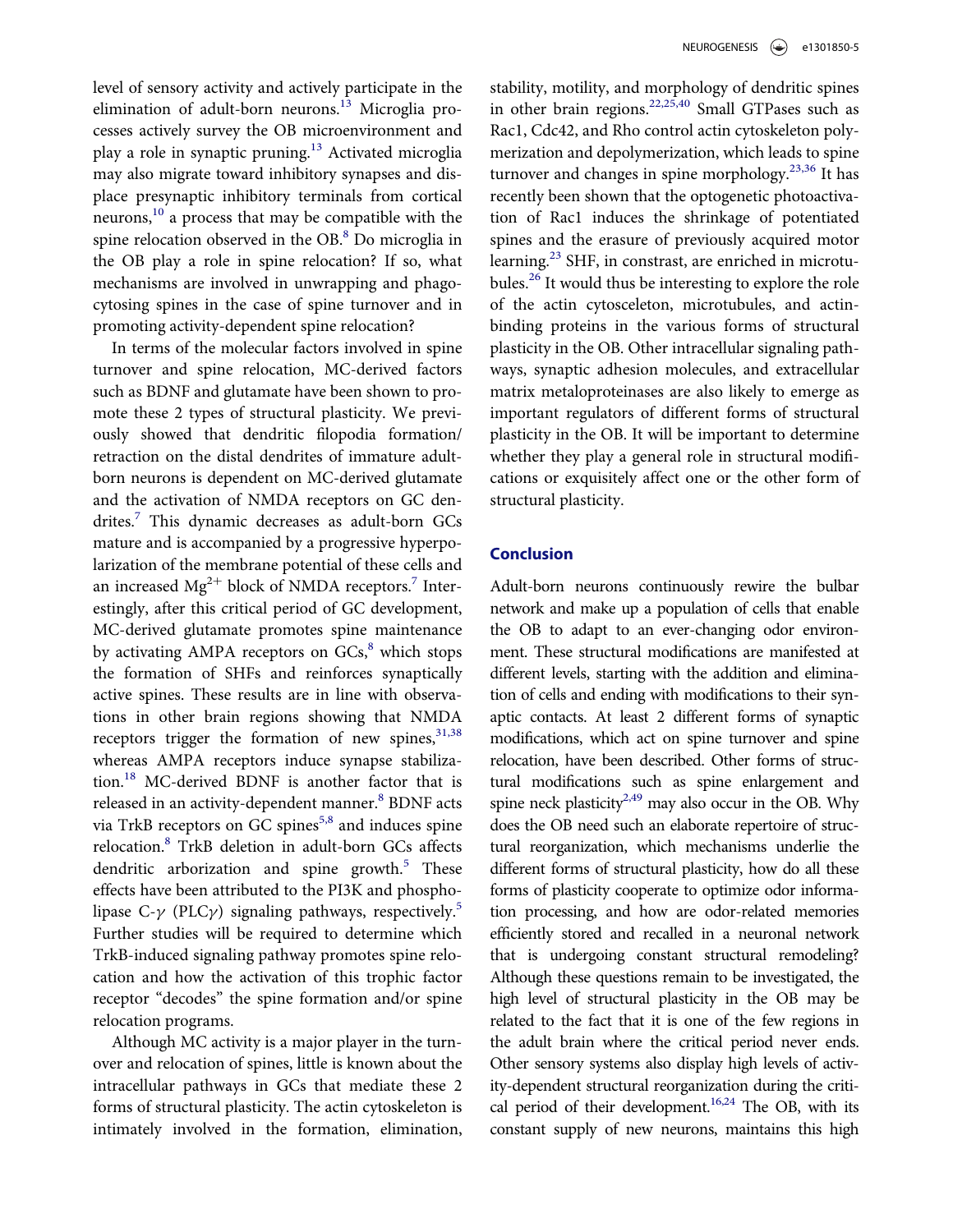level of sensory activity and actively participate in the elimination of adult-born neurons.<sup>[13](#page-6-9)</sup> Microglia processes actively survey the OB microenvironment and play a role in synaptic pruning.<sup>[13](#page-6-9)</sup> Activated microglia may also migrate toward inhibitory synapses and displace presynaptic inhibitory terminals from cortical neurons,<sup>[10](#page-6-10)</sup> a process that may be compatible with the spine relocation observed in the OB.<sup>8</sup> Do microglia in the OB play a role in spine relocation? If so, what mechanisms are involved in unwrapping and phagocytosing spines in the case of spine turnover and in promoting activity-dependent spine relocation?

In terms of the molecular factors involved in spine turnover and spine relocation, MC-derived factors such as BDNF and glutamate have been shown to promote these 2 types of structural plasticity. We previously showed that dendritic filopodia formation/ retraction on the distal dendrites of immature adultborn neurons is dependent on MC-derived glutamate and the activation of NMDA receptors on GC den-drites.<sup>[7](#page-6-11)</sup> This dynamic decreases as adult-born GCs mature and is accompanied by a progressive hyperpolarization of the membrane potential of these cells and an increased  $Mg^{2+}$  block of NMDA receptors.<sup>[7](#page-6-11)</sup> Interestingly, after this critical period of GC development, MC-derived glutamate promotes spine maintenance by activating AMPA receptors on  $GCs$ <sup>8</sup> which stops the formation of SHFs and reinforces synaptically active spines. These results are in line with observations in other brain regions showing that NMDA receptors trigger the formation of new spines,  $31,38$ whereas AMPA receptors induce synapse stabilization.[18](#page-6-12) MC-derived BDNF is another factor that is released in an activity-dependent manner.<sup>[8](#page-6-1)</sup> BDNF acts via TrkB receptors on GC spines<sup>[5,8](#page-6-13)</sup> and induces spine relocation.[8](#page-6-1) TrkB deletion in adult-born GCs affects dendritic arborization and spine growth. $5$  These effects have been attributed to the PI3K and phospholipase C- $\gamma$  (PLC $\gamma$ ) signaling pathways, respectively.<sup>5</sup> Further studies will be required to determine which TrkB-induced signaling pathway promotes spine relocation and how the activation of this trophic factor receptor "decodes" the spine formation and/or spine relocation programs.

Although MC activity is a major player in the turnover and relocation of spines, little is known about the intracellular pathways in GCs that mediate these 2 forms of structural plasticity. The actin cytoskeleton is intimately involved in the formation, elimination,

stability, motility, and morphology of dendritic spines in other brain regions.<sup>22,25,40</sup> Small GTPases such as Rac1, Cdc42, and Rho control actin cytoskeleton polymerization and depolymerization, which leads to spine turnover and changes in spine morphology. $23,36$  It has recently been shown that the optogenetic photoactivation of Rac1 induces the shrinkage of potentiated spines and the erasure of previously acquired motor learning.<sup>[23](#page-7-9)</sup> SHF, in constrast, are enriched in microtubules.[26](#page-7-10) It would thus be interesting to explore the role of the actin cytosceleton, microtubules, and actinbinding proteins in the various forms of structural plasticity in the OB. Other intracellular signaling pathways, synaptic adhesion molecules, and extracellular matrix metaloproteinases are also likely to emerge as important regulators of different forms of structural plasticity in the OB. It will be important to determine whether they play a general role in structural modifications or exquisitely affect one or the other form of structural plasticity.

## Conclusion

Adult-born neurons continuously rewire the bulbar network and make up a population of cells that enable the OB to adapt to an ever-changing odor environment. These structural modifications are manifested at different levels, starting with the addition and elimination of cells and ending with modifications to their synaptic contacts. At least 2 different forms of synaptic modifications, which act on spine turnover and spine relocation, have been described. Other forms of structural modifications such as spine enlargement and spine neck plasticity<sup>2,49</sup> may also occur in the OB. Why does the OB need such an elaborate repertoire of structural reorganization, which mechanisms underlie the different forms of structural plasticity, how do all these forms of plasticity cooperate to optimize odor information processing, and how are odor-related memories efficiently stored and recalled in a neuronal network that is undergoing constant structural remodeling? Although these questions remain to be investigated, the high level of structural plasticity in the OB may be related to the fact that it is one of the few regions in the adult brain where the critical period never ends. Other sensory systems also display high levels of activity-dependent structural reorganization during the critical period of their development.<sup>16,24</sup> The OB, with its constant supply of new neurons, maintains this high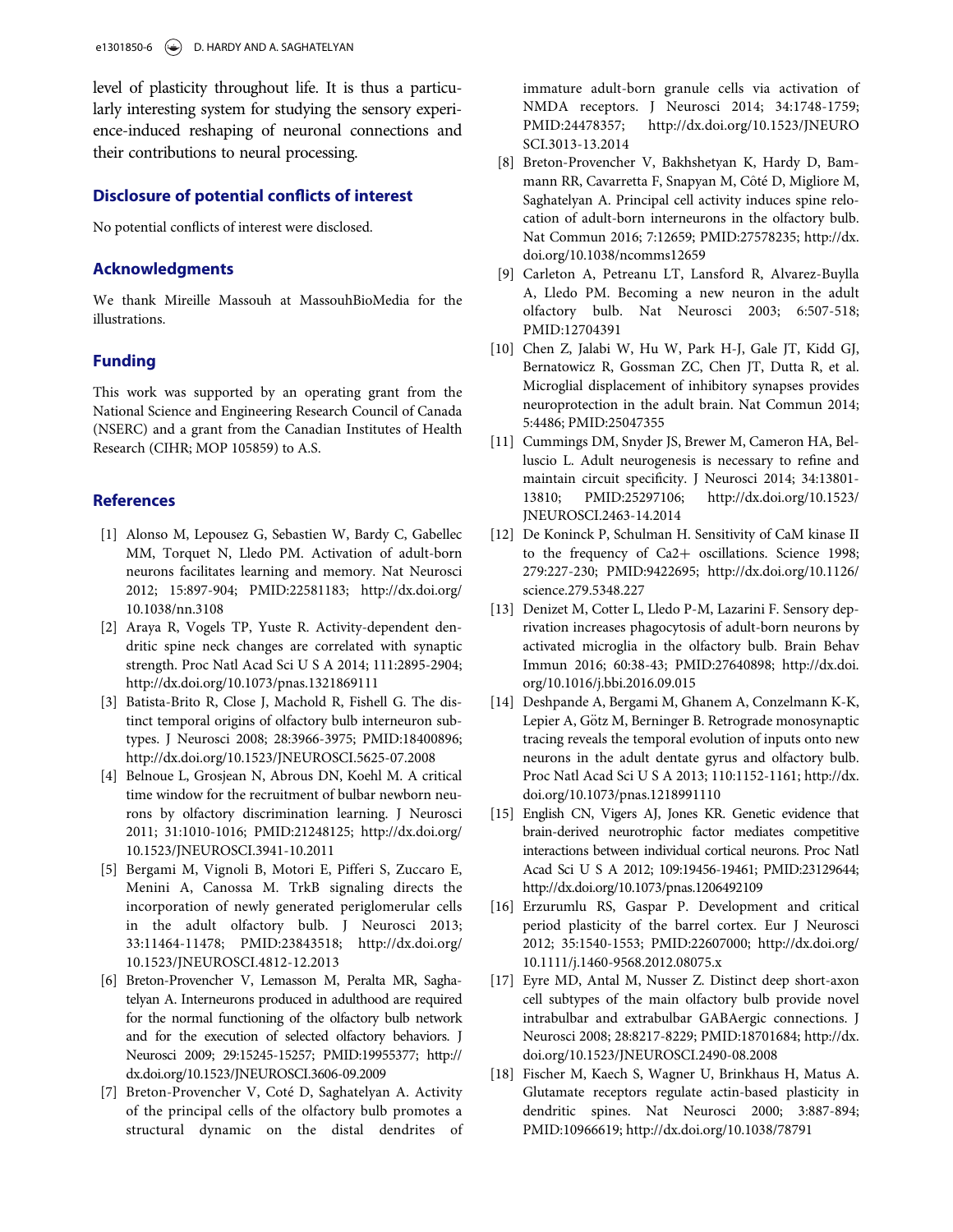level of plasticity throughout life. It is thus a particularly interesting system for studying the sensory experience-induced reshaping of neuronal connections and their contributions to neural processing.

## <span id="page-6-1"></span>Disclosure of potential conflicts of interest

No potential conflicts of interest were disclosed.

## <span id="page-6-3"></span>Acknowledgments

We thank Mireille Massouh at MassouhBioMedia for the illustrations.

## <span id="page-6-10"></span>Funding

This work was supported by an operating grant from the National Science and Engineering Research Council of Canada (NSERC) and a grant from the Canadian Institutes of Health Research (CIHR; MOP 105859) to A.S.

## <span id="page-6-0"></span>References

- <span id="page-6-8"></span>[1] Alonso M, Lepousez G, Sebastien W, Bardy C, Gabellec MM, Torquet N, Lledo PM. Activation of adult-born neurons facilitates learning and memory. Nat Neurosci 2012; 15:897-904; PMID[:22581183; http://dx.doi.org/](http://dx.doi.org/22581183) [10.1038/nn.3108](http://dx.doi.org/10.1038/nn.3108)
- <span id="page-6-14"></span><span id="page-6-9"></span>[2] Araya R, Vogels TP, Yuste R. Activity-dependent dendritic spine neck changes are correlated with synaptic strength. Proc Natl Acad Sci U S A 2014; 111:2895-2904; http://dx.doi.org/[10.1073/pnas.1321869111](http://dx.doi.org/10.1073/pnas.1321869111)
- <span id="page-6-7"></span><span id="page-6-4"></span>[3] Batista-Brito R, Close J, Machold R, Fishell G. The distinct temporal origins of olfactory bulb interneuron subtypes. J Neurosci 2008; 28:3966-3975; PMID:[18400896;](http://dx.doi.org/18400896) <http://dx.doi.org/10.1523/JNEUROSCI.5625-07.2008>
- <span id="page-6-6"></span><span id="page-6-5"></span>[4] Belnoue L, Grosjean N, Abrous DN, Koehl M. A critical time window for the recruitment of bulbar newborn neurons by olfactory discrimination learning. J Neurosci 2011; 31:1010-1016; PMID[:21248125; http://dx.doi.org/](http://dx.doi.org/21248125) [10.1523/JNEUROSCI.3941-10.2011](http://dx.doi.org/10.1523/JNEUROSCI.3941-10.2011)
- <span id="page-6-15"></span><span id="page-6-13"></span>[5] Bergami M, Vignoli B, Motori E, Pifferi S, Zuccaro E, Menini A, Canossa M. TrkB signaling directs the incorporation of newly generated periglomerular cells in the adult olfactory bulb. J Neurosci 2013; 33:11464-11478; PMID:[23843518; http://dx.doi.org/](http://dx.doi.org/23843518) [10.1523/JNEUROSCI.4812-12.2013](http://dx.doi.org/10.1523/JNEUROSCI.4812-12.2013)
- <span id="page-6-2"></span>[6] Breton-Provencher V, Lemasson M, Peralta MR, Saghatelyan A. Interneurons produced in adulthood are required for the normal functioning of the olfactory bulb network and for the execution of selected olfactory behaviors. J Neurosci 2009; 29:15245-15257; PMID[:19955377; http://](http://dx.doi.org/19955377) [dx.doi.org/10.1523/JNEUROSCI.3606-09.2009](http://dx.doi.org/10.1523/JNEUROSCI.3606-09.2009)
- <span id="page-6-12"></span><span id="page-6-11"></span>[7] Breton-Provencher V, Coté D, Saghatelyan A. Activity of the principal cells of the olfactory bulb promotes a structural dynamic on the distal dendrites of

immature adult-born granule cells via activation of NMDA receptors. J Neurosci 2014; 34:1748-1759; PMID[:24478357; http://dx.doi.org/10.1523/JNEURO](http://dx.doi.org/10.1523/JNEUROSCI.3013-13.2014) [SCI.3013-13.2014](http://dx.doi.org/10.1523/JNEUROSCI.3013-13.2014)

- [8] Breton-Provencher V, Bakhshetyan K, Hardy D, Bammann RR, Cavarretta F, Snapyan M, C^ote D, Migliore M, Saghatelyan A. Principal cell activity induces spine relocation of adult-born interneurons in the olfactory bulb. Nat Commun 2016; 7:12659; PMID:[27578235; http://dx.](http://dx.doi.org/27578235) [doi.org/10.1038/ncomms12659](http://dx.doi.org/10.1038/ncomms12659)
- [9] Carleton A, Petreanu LT, Lansford R, Alvarez-Buylla A, Lledo PM. Becoming a new neuron in the adult olfactory bulb. Nat Neurosci 2003; 6:507-518; PMID[:12704391](http://dx.doi.org/12704391)
- [10] Chen Z, Jalabi W, Hu W, Park H-J, Gale JT, Kidd GJ, Bernatowicz R, Gossman ZC, Chen JT, Dutta R, et al. Microglial displacement of inhibitory synapses provides neuroprotection in the adult brain. Nat Commun 2014; 5:4486; PMID:[25047355](http://dx.doi.org/25047355)
- [11] Cummings DM, Snyder JS, Brewer M, Cameron HA, Belluscio L. Adult neurogenesis is necessary to refine and maintain circuit specificity. J Neurosci 2014; 34:13801- 13810; PMID[:25297106; http://dx.doi.org/10.1523/](http://dx.doi.org/10.1523/JNEUROSCI.2463-14.2014) [JNEUROSCI.2463-14.2014](http://dx.doi.org/10.1523/JNEUROSCI.2463-14.2014)
- [12] De Koninck P, Schulman H. Sensitivity of CaM kinase II to the frequency of  $Ca2+$  oscillations. Science 1998; 279:227-230; PMID:[9422695; http://dx.doi.org/10.1126/](http://dx.doi.org/10.1126/science.279.5348.227) [science.279.5348.227](http://dx.doi.org/10.1126/science.279.5348.227)
- [13] Denizet M, Cotter L, Lledo P-M, Lazarini F. Sensory deprivation increases phagocytosis of adult-born neurons by activated microglia in the olfactory bulb. Brain Behav Immun 2016; 60:38-43; PMID:[27640898; http://dx.doi.](http://dx.doi.org/27640898) [org/10.1016/j.bbi.2016.09.015](http://dx.doi.org/10.1016/j.bbi.2016.09.015)
- [14] Deshpande A, Bergami M, Ghanem A, Conzelmann K-K, Lepier A, Götz M, Berninger B. Retrograde monosynaptic tracing reveals the temporal evolution of inputs onto new neurons in the adult dentate gyrus and olfactory bulb. Proc Natl Acad Sci U S A 2013; 110:1152-1161; http://dx. doi.org/[10.1073/pnas.1218991110](http://dx.doi.org/10.1073/pnas.1218991110)
- [15] English CN, Vigers AJ, Jones KR. Genetic evidence that brain-derived neurotrophic factor mediates competitive interactions between individual cortical neurons. Proc Natl Acad Sci U S A 2012; 109:19456-19461; PMID[:23129644;](http://dx.doi.org/23129644) <http://dx.doi.org/10.1073/pnas.1206492109>
- [16] Erzurumlu RS, Gaspar P. Development and critical period plasticity of the barrel cortex. Eur J Neurosci 2012; 35:1540-1553; PMID[:22607000; http://dx.doi.org/](http://dx.doi.org/22607000) [10.1111/j.1460-9568.2012.08075.x](http://dx.doi.org/10.1111/j.1460-9568.2012.08075.x)
- [17] Eyre MD, Antal M, Nusser Z. Distinct deep short-axon cell subtypes of the main olfactory bulb provide novel intrabulbar and extrabulbar GABAergic connections. J Neurosci 2008; 28:8217-8229; PMID[:18701684; http://dx.](http://dx.doi.org/18701684) [doi.org/10.1523/JNEUROSCI.2490-08.2008](http://dx.doi.org/10.1523/JNEUROSCI.2490-08.2008)
- [18] Fischer M, Kaech S, Wagner U, Brinkhaus H, Matus A. Glutamate receptors regulate actin-based plasticity in dendritic spines. Nat Neurosci 2000; 3:887-894; PMID:[10966619; http://dx.doi.org/10.1038/78791](http://dx.doi.org/10.1038/78791)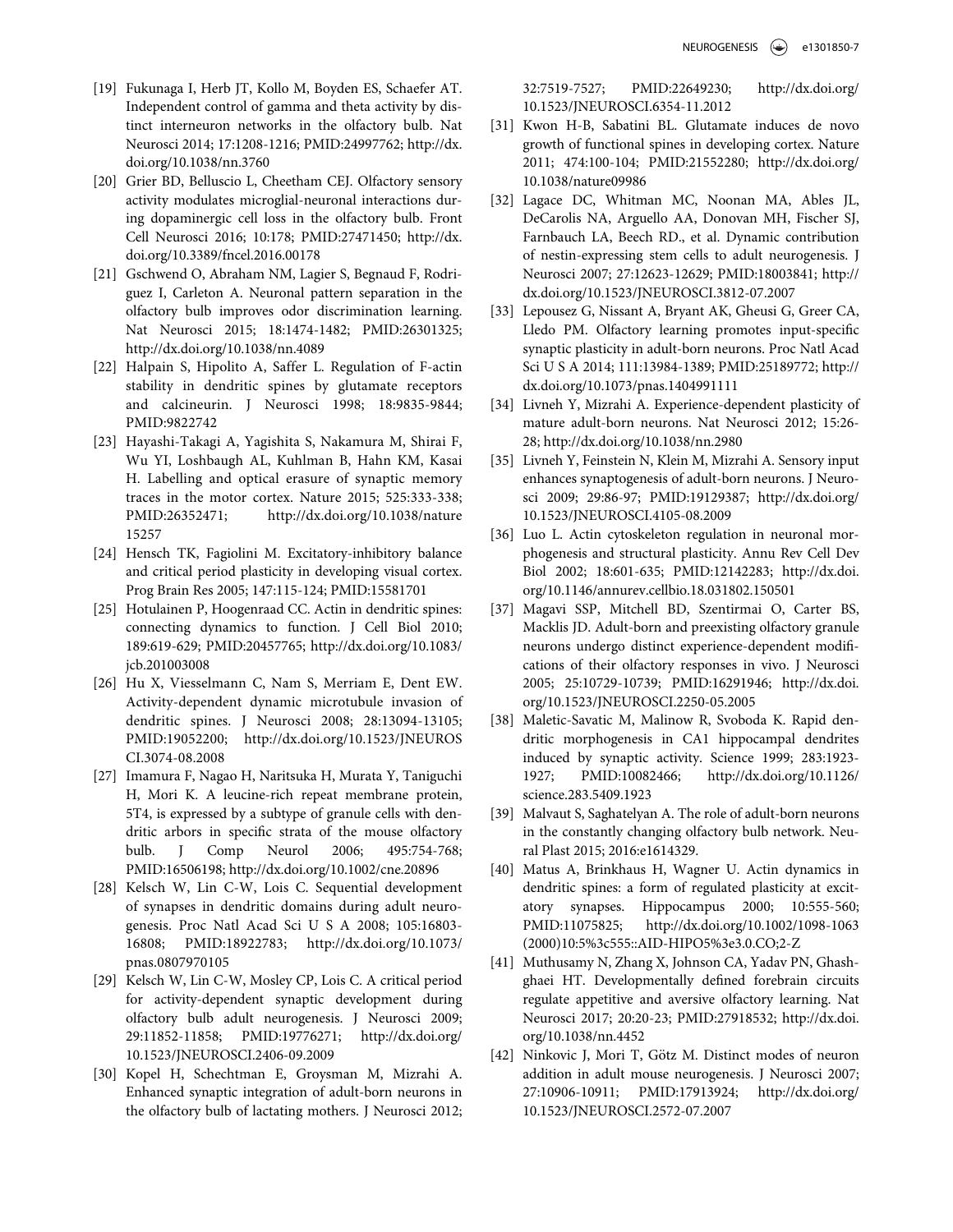- <span id="page-7-7"></span><span id="page-7-1"></span>[19] Fukunaga I, Herb JT, Kollo M, Boyden ES, Schaefer AT. Independent control of gamma and theta activity by distinct interneuron networks in the olfactory bulb. Nat Neurosci 2014; 17:1208-1216; PMID:[24997762; http://dx.](http://dx.doi.org/24997762) [doi.org/10.1038/nn.3760](http://dx.doi.org/10.1038/nn.3760)
- <span id="page-7-0"></span>[20] Grier BD, Belluscio L, Cheetham CEJ. Olfactory sensory activity modulates microglial-neuronal interactions during dopaminergic cell loss in the olfactory bulb. Front Cell Neurosci 2016; 10:178; PMID[:27471450; http://dx.](http://dx.doi.org/27471450) [doi.org/10.3389/fncel.2016.00178](http://dx.doi.org/10.3389/fncel.2016.00178)
- <span id="page-7-5"></span>[21] Gschwend O, Abraham NM, Lagier S, Begnaud F, Rodriguez I, Carleton A. Neuronal pattern separation in the olfactory bulb improves odor discrimination learning. Nat Neurosci 2015; 18:1474-1482; PMID:[26301325;](http://dx.doi.org/26301325) <http://dx.doi.org/10.1038/nn.4089>
- <span id="page-7-8"></span>[22] Halpain S, Hipolito A, Saffer L. Regulation of F-actin stability in dendritic spines by glutamate receptors and calcineurin. J Neurosci 1998; 18:9835-9844; PMID[:9822742](http://dx.doi.org/9822742)
- <span id="page-7-9"></span>[23] Hayashi-Takagi A, Yagishita S, Nakamura M, Shirai F, Wu YI, Loshbaugh AL, Kuhlman B, Hahn KM, Kasai H. Labelling and optical erasure of synaptic memory traces in the motor cortex. Nature 2015; 525:333-338; PMID[:26352471; http://dx.doi.org/10.1038/nature](http://dx.doi.org/10.1038/nature15257) [15257](http://dx.doi.org/10.1038/nature15257)
- [24] Hensch TK, Fagiolini M. Excitatory-inhibitory balance and critical period plasticity in developing visual cortex. Prog Brain Res 2005; 147:115-124; PMID[:15581701](http://dx.doi.org/15581701)
- [25] Hotulainen P, Hoogenraad CC. Actin in dendritic spines: connecting dynamics to function. J Cell Biol 2010; 189:619-629; PMID[:20457765; http://dx.doi.org/10.1083/](http://dx.doi.org/10.1083/jcb.201003008) [jcb.201003008](http://dx.doi.org/10.1083/jcb.201003008)
- <span id="page-7-10"></span>[26] Hu X, Viesselmann C, Nam S, Merriam E, Dent EW. Activity-dependent dynamic microtubule invasion of dendritic spines. J Neurosci 2008; 28:13094-13105; PMID[:19052200; http://dx.doi.org/10.1523/JNEUROS](http://dx.doi.org/10.1523/JNEUROSCI.3074-08.2008) [CI.3074-08.2008](http://dx.doi.org/10.1523/JNEUROSCI.3074-08.2008)
- <span id="page-7-6"></span>[27] Imamura F, Nagao H, Naritsuka H, Murata Y, Taniguchi H, Mori K. A leucine-rich repeat membrane protein, 5T4, is expressed by a subtype of granule cells with dendritic arbors in specific strata of the mouse olfactory bulb. J Comp Neurol 2006; 495:754-768; PMID:[16506198; http://dx.doi.org/10.1002/cne.20896](http://dx.doi.org/10.1002/cne.20896)
- <span id="page-7-2"></span>[28] Kelsch W, Lin C-W, Lois C. Sequential development of synapses in dendritic domains during adult neurogenesis. Proc Natl Acad Sci U S A 2008; 105:16803- 16808; PMID[:18922783; http://dx.doi.org/10.1073/](http://dx.doi.org/10.1073/pnas.0807970105) [pnas.0807970105](http://dx.doi.org/10.1073/pnas.0807970105)
- <span id="page-7-4"></span><span id="page-7-3"></span>[29] Kelsch W, Lin C-W, Mosley CP, Lois C. A critical period for activity-dependent synaptic development during olfactory bulb adult neurogenesis. J Neurosci 2009; 29:11852-11858; PMID[:19776271; http://dx.doi.org/](http://dx.doi.org/19776271) [10.1523/JNEUROSCI.2406-09.2009](http://dx.doi.org/10.1523/JNEUROSCI.2406-09.2009)
- [30] Kopel H, Schechtman E, Groysman M, Mizrahi A. Enhanced synaptic integration of adult-born neurons in the olfactory bulb of lactating mothers. J Neurosci 2012;

32:7519-7527; PMID:[22649230; http://dx.doi.org/](http://dx.doi.org/22649230) [10.1523/JNEUROSCI.6354-11.2012](http://dx.doi.org/10.1523/JNEUROSCI.6354-11.2012)

- [31] Kwon H-B, Sabatini BL. Glutamate induces de novo growth of functional spines in developing cortex. Nature 2011; 474:100-104; PMID:[21552280; http://dx.doi.org/](http://dx.doi.org/21552280) [10.1038/nature09986](http://dx.doi.org/10.1038/nature09986)
- [32] Lagace DC, Whitman MC, Noonan MA, Ables JL, DeCarolis NA, Arguello AA, Donovan MH, Fischer SJ, Farnbauch LA, Beech RD., et al. Dynamic contribution of nestin-expressing stem cells to adult neurogenesis. J Neurosci 2007; 27:12623-12629; PMID:[18003841; http://](http://dx.doi.org/18003841) [dx.doi.org/10.1523/JNEUROSCI.3812-07.2007](http://dx.doi.org/10.1523/JNEUROSCI.3812-07.2007)
- [33] Lepousez G, Nissant A, Bryant AK, Gheusi G, Greer CA, Lledo PM. Olfactory learning promotes input-specific synaptic plasticity in adult-born neurons. Proc Natl Acad Sci U S A 2014; 111:13984-1389; PMID:[25189772; http://](http://dx.doi.org/25189772) [dx.doi.org/10.1073/pnas.1404991111](http://dx.doi.org/10.1073/pnas.1404991111)
- [34] Livneh Y, Mizrahi A. Experience-dependent plasticity of mature adult-born neurons. Nat Neurosci 2012; 15:26- 28; http://dx.doi.org[/10.1038/nn.2980](http://dx.doi.org/10.1038/nn.2980)
- [35] Livneh Y, Feinstein N, Klein M, Mizrahi A. Sensory input enhances synaptogenesis of adult-born neurons. J Neurosci 2009; 29:86-97; PMID[:19129387; http://dx.doi.org/](http://dx.doi.org/19129387) [10.1523/JNEUROSCI.4105-08.2009](http://dx.doi.org/10.1523/JNEUROSCI.4105-08.2009)
- [36] Luo L. Actin cytoskeleton regulation in neuronal morphogenesis and structural plasticity. Annu Rev Cell Dev Biol 2002; 18:601-635; PMID[:12142283; http://dx.doi.](http://dx.doi.org/12142283) [org/10.1146/annurev.cellbio.18.031802.150501](http://dx.doi.org/10.1146/annurev.cellbio.18.031802.150501)
- [37] Magavi SSP, Mitchell BD, Szentirmai O, Carter BS, Macklis JD. Adult-born and preexisting olfactory granule neurons undergo distinct experience-dependent modifications of their olfactory responses in vivo. J Neurosci 2005; 25:10729-10739; PMID:[16291946; http://dx.doi.](http://dx.doi.org/16291946) [org/10.1523/JNEUROSCI.2250-05.2005](http://dx.doi.org/10.1523/JNEUROSCI.2250-05.2005)
- [38] Maletic-Savatic M, Malinow R, Svoboda K. Rapid dendritic morphogenesis in CA1 hippocampal dendrites induced by synaptic activity. Science 1999; 283:1923- 1927; PMID[:10082466; http://dx.doi.org/10.1126/](http://dx.doi.org/10.1126/science.283.5409.1923) [science.283.5409.1923](http://dx.doi.org/10.1126/science.283.5409.1923)
- [39] Malvaut S, Saghatelyan A. The role of adult-born neurons in the constantly changing olfactory bulb network. Neural Plast 2015; 2016:e1614329.
- [40] Matus A, Brinkhaus H, Wagner U. Actin dynamics in dendritic spines: a form of regulated plasticity at excitatory synapses. Hippocampus 2000; 10:555-560; PMID:[11075825; http://dx.doi.org/10.1002/1098-1063](http://dx.doi.org/10.1002/1098-1063(2000)10:5%3c555::AID-HIPO5%3e3.0.CO;2-Z) [\(2000\)10:5%3c555::AID-HIPO5%3e3.0.CO;2-Z](http://dx.doi.org/10.1002/1098-1063(2000)10:5%3c555::AID-HIPO5%3e3.0.CO;2-Z)
- [41] Muthusamy N, Zhang X, Johnson CA, Yadav PN, Ghashghaei HT. Developmentally defined forebrain circuits regulate appetitive and aversive olfactory learning. Nat Neurosci 2017; 20:20-23; PMID:[27918532; http://dx.doi.](http://dx.doi.org/27918532) [org/10.1038/nn.4452](http://dx.doi.org/10.1038/nn.4452)
- [42] Ninkovic J, Mori T, Götz M. Distinct modes of neuron addition in adult mouse neurogenesis. J Neurosci 2007; 27:10906-10911; PMID[:17913924; http://dx.doi.org/](http://dx.doi.org/17913924) [10.1523/JNEUROSCI.2572-07.2007](http://dx.doi.org/10.1523/JNEUROSCI.2572-07.2007)